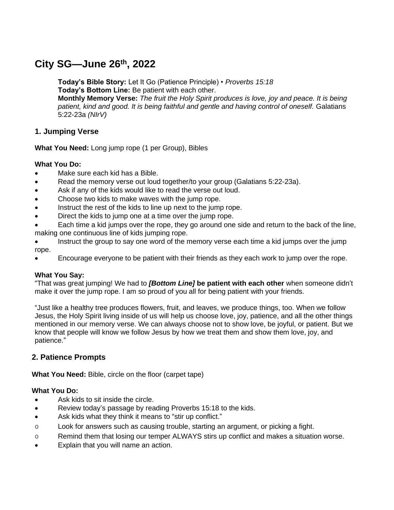# **City SG—June 26th , 2022**

**Today's Bible Story:** Let It Go (Patience Principle) • *Proverbs 15:18* **Today's Bottom Line:** Be patient with each other. **Monthly Memory Verse:** *The fruit the Holy Spirit produces is love, joy and peace. It is being* 

patient, kind and good. It is being faithful and gentle and having control of oneself. Galatians 5:22-23a *(NIrV)*

# **1. Jumping Verse**

**What You Need:** Long jump rope (1 per Group), Bibles

## **What You Do:**

- Make sure each kid has a Bible.
- Read the memory verse out loud together/to your group (Galatians 5:22-23a).
- Ask if any of the kids would like to read the verse out loud.
- Choose two kids to make waves with the jump rope.
- Instruct the rest of the kids to line up next to the jump rope.
- Direct the kids to jump one at a time over the jump rope.
- Each time a kid jumps over the rope, they go around one side and return to the back of the line, making one continuous line of kids jumping rope.
- Instruct the group to say one word of the memory verse each time a kid jumps over the jump rope.
- Encourage everyone to be patient with their friends as they each work to jump over the rope.

## **What You Say:**

"That was great jumping! We had to *[Bottom Line]* **be patient with each other** when someone didn't make it over the jump rope. I am so proud of you all for being patient with your friends.

"Just like a healthy tree produces flowers, fruit, and leaves, we produce things, too. When we follow Jesus, the Holy Spirit living inside of us will help us choose love, joy, patience, and all the other things mentioned in our memory verse. We can always choose not to show love, be joyful, or patient. But we know that people will know we follow Jesus by how we treat them and show them love, joy, and patience."

# **2. Patience Prompts**

**What You Need:** Bible, circle on the floor (carpet tape)

## **What You Do:**

- Ask kids to sit inside the circle.
- Review today's passage by reading Proverbs 15:18 to the kids.
- Ask kids what they think it means to "stir up conflict."
- o Look for answers such as causing trouble, starting an argument, or picking a fight.
- o Remind them that losing our temper ALWAYS stirs up conflict and makes a situation worse.
- Explain that you will name an action.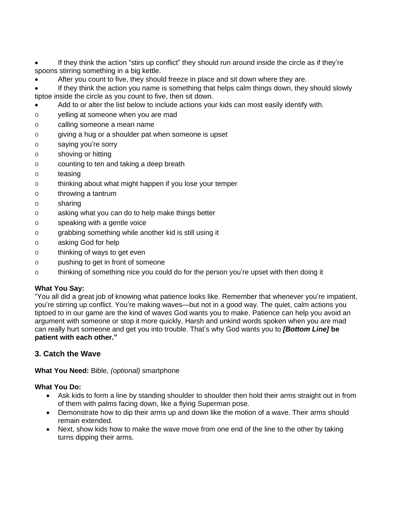- If they think the action "stirs up conflict" they should run around inside the circle as if they're spoons stirring something in a big kettle.
- After you count to five, they should freeze in place and sit down where they are.
- If they think the action you name is something that helps calm things down, they should slowly tiptoe inside the circle as you count to five, then sit down.
- Add to or alter the list below to include actions your kids can most easily identify with.
- o yelling at someone when you are mad
- o calling someone a mean name
- o giving a hug or a shoulder pat when someone is upset
- o saying you're sorry
- o shoving or hitting
- o counting to ten and taking a deep breath
- o teasing
- o thinking about what might happen if you lose your temper
- o throwing a tantrum
- o sharing
- o asking what you can do to help make things better
- o speaking with a gentle voice
- o grabbing something while another kid is still using it
- o asking God for help
- o thinking of ways to get even
- o pushing to get in front of someone
- o thinking of something nice you could do for the person you're upset with then doing it

# **What You Say:**

"You all did a great job of knowing what patience looks like. Remember that whenever you're impatient, you're stirring up conflict. You're making waves—but not in a good way. The quiet, calm actions you tiptoed to in our game are the kind of waves God wants you to make. Patience can help you avoid an argument with someone or stop it more quickly. Harsh and unkind words spoken when you are mad can really hurt someone and get you into trouble. That's why God wants you to *[Bottom Line]* **be patient with each other."**

# **3. Catch the Wave**

**What You Need:** Bible, *(optional)* smartphone

# **What You Do:**

- Ask kids to form a line by standing shoulder to shoulder then hold their arms straight out in from of them with palms facing down, like a flying Superman pose.
- Demonstrate how to dip their arms up and down like the motion of a wave. Their arms should remain extended.
- Next, show kids how to make the wave move from one end of the line to the other by taking turns dipping their arms.